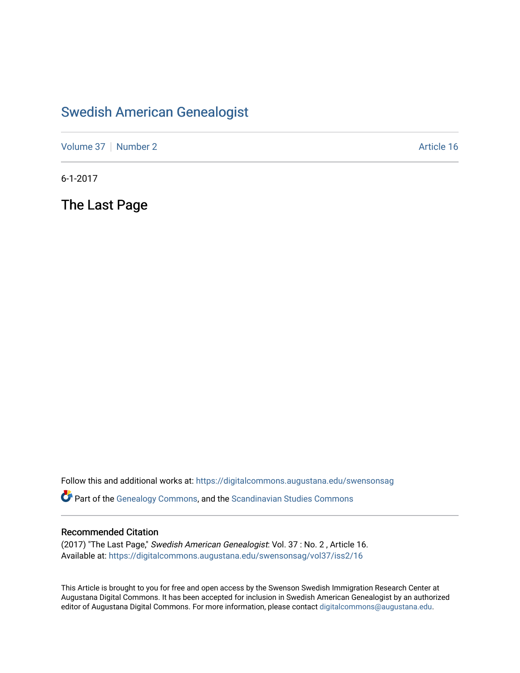### [Swedish American Genealogist](https://digitalcommons.augustana.edu/swensonsag)

[Volume 37](https://digitalcommons.augustana.edu/swensonsag/vol37) [Number 2](https://digitalcommons.augustana.edu/swensonsag/vol37/iss2) Article 16

6-1-2017

The Last Page

Follow this and additional works at: [https://digitalcommons.augustana.edu/swensonsag](https://digitalcommons.augustana.edu/swensonsag?utm_source=digitalcommons.augustana.edu%2Fswensonsag%2Fvol37%2Fiss2%2F16&utm_medium=PDF&utm_campaign=PDFCoverPages) 

Part of the [Genealogy Commons,](http://network.bepress.com/hgg/discipline/1342?utm_source=digitalcommons.augustana.edu%2Fswensonsag%2Fvol37%2Fiss2%2F16&utm_medium=PDF&utm_campaign=PDFCoverPages) and the [Scandinavian Studies Commons](http://network.bepress.com/hgg/discipline/485?utm_source=digitalcommons.augustana.edu%2Fswensonsag%2Fvol37%2Fiss2%2F16&utm_medium=PDF&utm_campaign=PDFCoverPages)

#### Recommended Citation

(2017) "The Last Page," Swedish American Genealogist: Vol. 37 : No. 2 , Article 16. Available at: [https://digitalcommons.augustana.edu/swensonsag/vol37/iss2/16](https://digitalcommons.augustana.edu/swensonsag/vol37/iss2/16?utm_source=digitalcommons.augustana.edu%2Fswensonsag%2Fvol37%2Fiss2%2F16&utm_medium=PDF&utm_campaign=PDFCoverPages) 

This Article is brought to you for free and open access by the Swenson Swedish Immigration Research Center at Augustana Digital Commons. It has been accepted for inclusion in Swedish American Genealogist by an authorized editor of Augustana Digital Commons. For more information, please contact [digitalcommons@augustana.edu.](mailto:digitalcommons@augustana.edu)